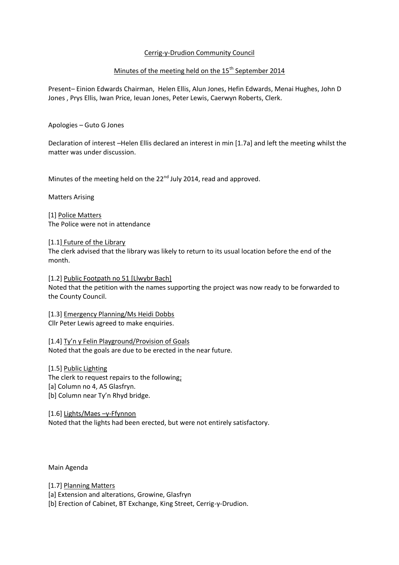## Cerrig-y-Drudion Community Council

# Minutes of the meeting held on the 15<sup>th</sup> September 2014

Present– Einion Edwards Chairman, Helen Ellis, Alun Jones, Hefin Edwards, Menai Hughes, John D Jones , Prys Ellis, Iwan Price, Ieuan Jones, Peter Lewis, Caerwyn Roberts, Clerk.

Apologies – Guto G Jones

Declaration of interest –Helen Ellis declared an interest in min [1.7a] and left the meeting whilst the matter was under discussion.

Minutes of the meeting held on the 22<sup>nd</sup> July 2014, read and approved.

Matters Arising

[1] Police Matters The Police were not in attendance

[1.1] Future of the Library

The clerk advised that the library was likely to return to its usual location before the end of the month.

[1.2] Public Footpath no 51 [Llwybr Bach] Noted that the petition with the names supporting the project was now ready to be forwarded to the County Council.

[1.3] Emergency Planning/Ms Heidi Dobbs Cllr Peter Lewis agreed to make enquiries.

[1.4] Ty'n y Felin Playground/Provision of Goals Noted that the goals are due to be erected in the near future.

[1.5] Public Lighting The clerk to request repairs to the following; [a] Column no 4, A5 Glasfryn. [b] Column near Ty'n Rhyd bridge.

[1.6] Lights/Maes –y-Ffynnon Noted that the lights had been erected, but were not entirely satisfactory.

Main Agenda

[1.7] Planning Matters [a] Extension and alterations, Growine, Glasfryn [b] Erection of Cabinet, BT Exchange, King Street, Cerrig-y-Drudion.